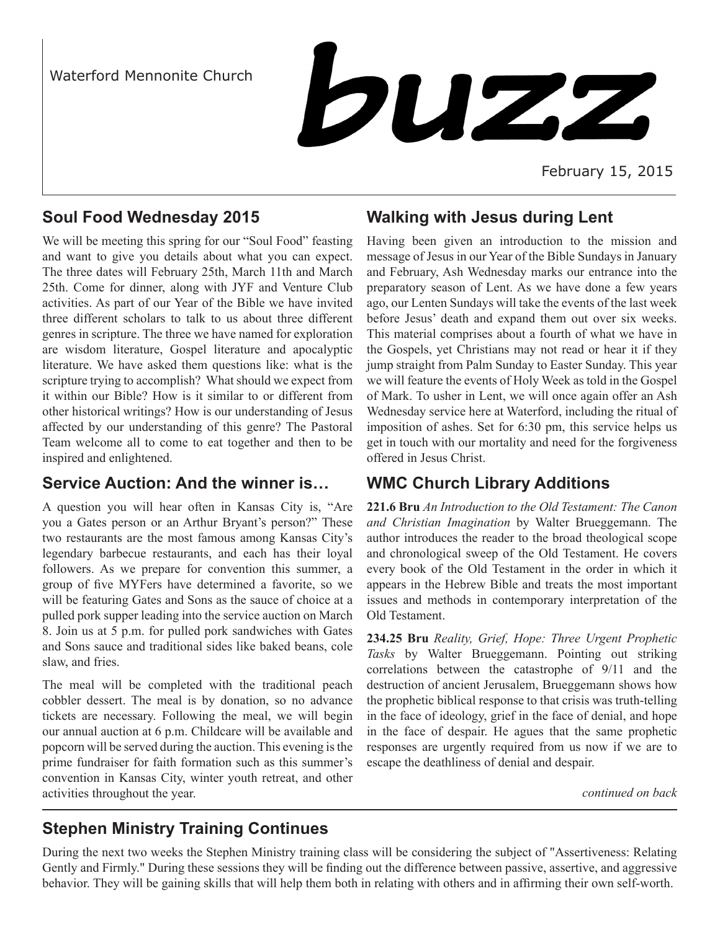Waterford Mennonite Church



February 15, 2015

## **Soul Food Wednesday 2015**

We will be meeting this spring for our "Soul Food" feasting and want to give you details about what you can expect. The three dates will February 25th, March 11th and March 25th. Come for dinner, along with JYF and Venture Club activities. As part of our Year of the Bible we have invited three different scholars to talk to us about three different genres in scripture. The three we have named for exploration are wisdom literature, Gospel literature and apocalyptic literature. We have asked them questions like: what is the scripture trying to accomplish? What should we expect from it within our Bible? How is it similar to or different from other historical writings? How is our understanding of Jesus affected by our understanding of this genre? The Pastoral Team welcome all to come to eat together and then to be inspired and enlightened.

### **Service Auction: And the winner is…**

A question you will hear often in Kansas City is, "Are you a Gates person or an Arthur Bryant's person?" These two restaurants are the most famous among Kansas City's legendary barbecue restaurants, and each has their loyal followers. As we prepare for convention this summer, a group of five MYFers have determined a favorite, so we will be featuring Gates and Sons as the sauce of choice at a pulled pork supper leading into the service auction on March 8. Join us at 5 p.m. for pulled pork sandwiches with Gates and Sons sauce and traditional sides like baked beans, cole slaw, and fries.

The meal will be completed with the traditional peach cobbler dessert. The meal is by donation, so no advance tickets are necessary. Following the meal, we will begin our annual auction at 6 p.m. Childcare will be available and popcorn will be served during the auction. This evening is the prime fundraiser for faith formation such as this summer's convention in Kansas City, winter youth retreat, and other activities throughout the year.

## **Walking with Jesus during Lent**

Having been given an introduction to the mission and message of Jesus in our Year of the Bible Sundays in January and February, Ash Wednesday marks our entrance into the preparatory season of Lent. As we have done a few years ago, our Lenten Sundays will take the events of the last week before Jesus' death and expand them out over six weeks. This material comprises about a fourth of what we have in the Gospels, yet Christians may not read or hear it if they jump straight from Palm Sunday to Easter Sunday. This year we will feature the events of Holy Week as told in the Gospel of Mark. To usher in Lent, we will once again offer an Ash Wednesday service here at Waterford, including the ritual of imposition of ashes. Set for 6:30 pm, this service helps us get in touch with our mortality and need for the forgiveness offered in Jesus Christ.

## **WMC Church Library Additions**

**221.6 Bru** *An Introduction to the Old Testament: The Canon and Christian Imagination* by Walter Brueggemann. The author introduces the reader to the broad theological scope and chronological sweep of the Old Testament. He covers every book of the Old Testament in the order in which it appears in the Hebrew Bible and treats the most important issues and methods in contemporary interpretation of the Old Testament.

**234.25 Bru** *Reality, Grief, Hope: Three Urgent Prophetic Tasks* by Walter Brueggemann. Pointing out striking correlations between the catastrophe of 9/11 and the destruction of ancient Jerusalem, Brueggemann shows how the prophetic biblical response to that crisis was truth-telling in the face of ideology, grief in the face of denial, and hope in the face of despair. He agues that the same prophetic responses are urgently required from us now if we are to escape the deathliness of denial and despair.

*continued on back*

# **Stephen Ministry Training Continues**

During the next two weeks the Stephen Ministry training class will be considering the subject of "Assertiveness: Relating Gently and Firmly." During these sessions they will be finding out the difference between passive, assertive, and aggressive behavior. They will be gaining skills that will help them both in relating with others and in affirming their own self-worth.